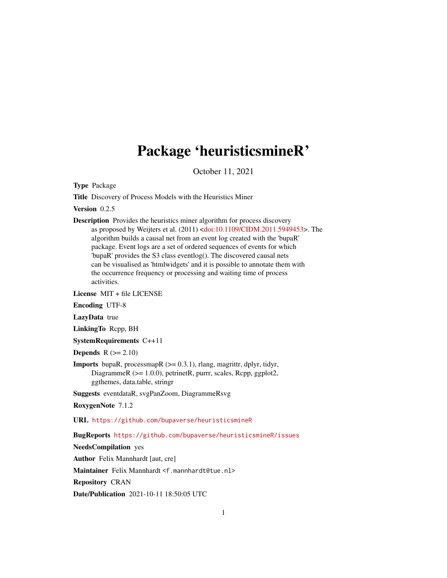# Package 'heuristicsmineR'

October 11, 2021

Type Package

Title Discovery of Process Models with the Heuristics Miner

Version 0.2.5

Description Provides the heuristics miner algorithm for process discovery as proposed by Weijters et al. (2011) [<doi:10.1109/CIDM.2011.5949453>](https://doi.org/10.1109/CIDM.2011.5949453). The algorithm builds a causal net from an event log created with the 'bupaR' package. Event logs are a set of ordered sequences of events for which 'bupaR' provides the S3 class eventlog(). The discovered causal nets can be visualised as 'htmlwidgets' and it is possible to annotate them with the occurrence frequency or processing and waiting time of process activities.

License MIT + file LICENSE

Encoding UTF-8

LazyData true

LinkingTo Rcpp, BH

SystemRequirements C++11

Depends  $R (= 2.10)$ 

**Imports** bupaR, processmapR  $(>= 0.3.1)$ , rlang, magrittr, dplyr, tidyr, DiagrammeR (>= 1.0.0), petrinetR, purrr, scales, Rcpp, ggplot2, ggthemes, data.table, stringr

Suggests eventdataR, svgPanZoom, DiagrammeRsvg

RoxygenNote 7.1.2

URL <https://github.com/bupaverse/heuristicsmineR>

BugReports <https://github.com/bupaverse/heuristicsmineR/issues>

NeedsCompilation yes

Author Felix Mannhardt [aut, cre]

Maintainer Felix Mannhardt <f.mannhardt@tue.nl>

Repository CRAN

Date/Publication 2021-10-11 18:50:05 UTC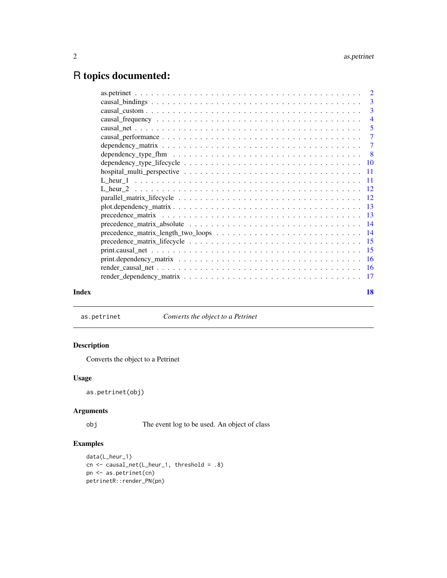## <span id="page-1-0"></span>R topics documented:

| Index | 18 |
|-------|----|

as.petrinet *Converts the object to a Petrinet*

### Description

Converts the object to a Petrinet

#### Usage

as.petrinet(obj)

#### Arguments

obj The event log to be used. An object of class

#### Examples

```
data(L_heur_1)
cn <- causal_net(L_heur_1, threshold = .8)
pn <- as.petrinet(cn)
petrinetR::render_PN(pn)
```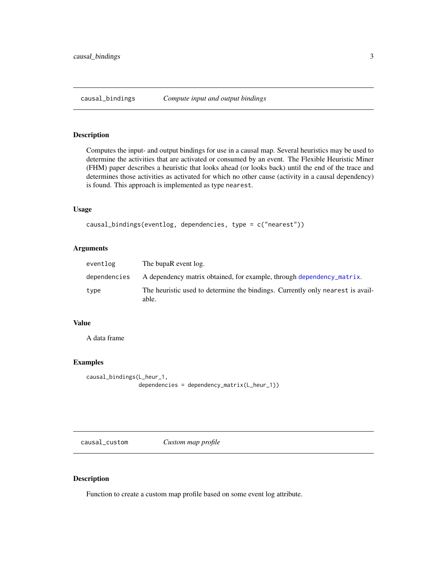<span id="page-2-1"></span><span id="page-2-0"></span>

#### Description

Computes the input- and output bindings for use in a causal map. Several heuristics may be used to determine the activities that are activated or consumed by an event. The Flexible Heuristic Miner (FHM) paper describes a heuristic that looks ahead (or looks back) until the end of the trace and determines those activities as activated for which no other cause (activity in a causal dependency) is found. This approach is implemented as type nearest.

#### Usage

```
causal_bindings(eventlog, dependencies, type = c("nearest"))
```
#### Arguments

| eventlog     | The bupaR event log.                                                                    |
|--------------|-----------------------------------------------------------------------------------------|
| dependencies | A dependency matrix obtained, for example, through dependency matrix.                   |
| type         | The heuristic used to determine the bindings. Currently only nearest is avail-<br>able. |

#### Value

A data frame

#### Examples

```
causal_bindings(L_heur_1,
                dependencies = dependency_matrix(L_heur_1))
```
causal\_custom *Custom map profile*

#### Description

Function to create a custom map profile based on some event log attribute.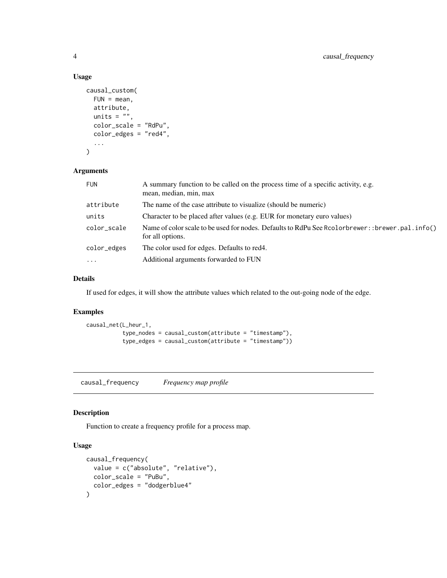#### Usage

```
causal_custom(
  FUN = mean,
  attribute,
  units = ",
  color_scale = "RdPu",
  color_edges = "red4",
  ...
\mathcal{L}
```
#### Arguments

| <b>FUN</b>          | A summary function to be called on the process time of a specific activity, e.g.<br>mean, median, min, max             |
|---------------------|------------------------------------------------------------------------------------------------------------------------|
| attribute           | The name of the case attribute to visualize (should be numeric)                                                        |
| units               | Character to be placed after values (e.g. EUR for monetary euro values)                                                |
| color_scale         | Name of color scale to be used for nodes. Defaults to RdPu See Rcolorbrewer: : brewer. pal. info()<br>for all options. |
| color_edges         | The color used for edges. Defaults to red4.                                                                            |
| $\cdot \cdot \cdot$ | Additional arguments forwarded to FUN                                                                                  |

#### Details

If used for edges, it will show the attribute values which related to the out-going node of the edge.

#### Examples

```
causal_net(L_heur_1,
           type_nodes = causal_custom(attribute = "timestamp"),
           type_edges = causal_custom(attribute = "timestamp"))
```
<span id="page-3-1"></span>causal\_frequency *Frequency map profile*

#### Description

Function to create a frequency profile for a process map.

#### Usage

```
causal_frequency(
  value = c("absolute", "relative"),
  color_scale = "PuBu",
  color_edges = "dodgerblue4"
\mathcal{E}
```
<span id="page-3-0"></span>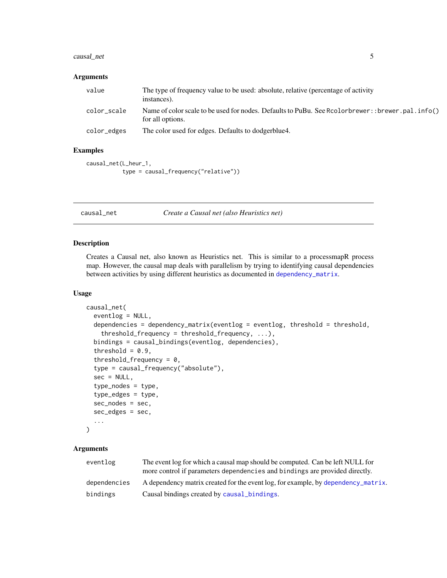#### <span id="page-4-0"></span>causal\_net 5

#### Arguments

| value       | The type of frequency value to be used: absolute, relative (percentage of activity<br>instances).                    |
|-------------|----------------------------------------------------------------------------------------------------------------------|
| color scale | Name of color scale to be used for nodes. Defaults to PuBu. See Rcolorbrewer:: brewer.pal.info()<br>for all options. |
| color_edges | The color used for edges. Defaults to dodgerblue4.                                                                   |

#### Examples

```
causal_net(L_heur_1,
           type = causal_frequency("relative"))
```
<span id="page-4-1"></span>causal\_net *Create a Causal net (also Heuristics net)*

#### Description

Creates a Causal net, also known as Heuristics net. This is similar to a processmapR process map. However, the causal map deals with parallelism by trying to identifying causal dependencies between activities by using different heuristics as documented in [dependency\\_matrix](#page-6-1).

#### Usage

```
causal_net(
  eventlog = NULL,
  dependencies = dependency_matrix(eventlog = eventlog, threshold = threshold,
    threshold_frequency = threshold_frequency, ...),
 bindings = causal_bindings(eventlog, dependencies),
  threshold = 0.9,
  threshold_frequency = 0,
  type = causal_frequency("absolute"),
  sec = NULL,type_nodes = type,
  type_edges = type,
  sec\_nodes = sec,sec_edges = sec,
  ...
)
```

| eventlog     | The event log for which a causal map should be computed. Can be left NULL for<br>more control if parameters dependencies and bindings are provided directly. |
|--------------|--------------------------------------------------------------------------------------------------------------------------------------------------------------|
| dependencies | A dependency matrix created for the event log, for example, by dependency_matrix.                                                                            |
| bindings     | Causal bindings created by causal bindings.                                                                                                                  |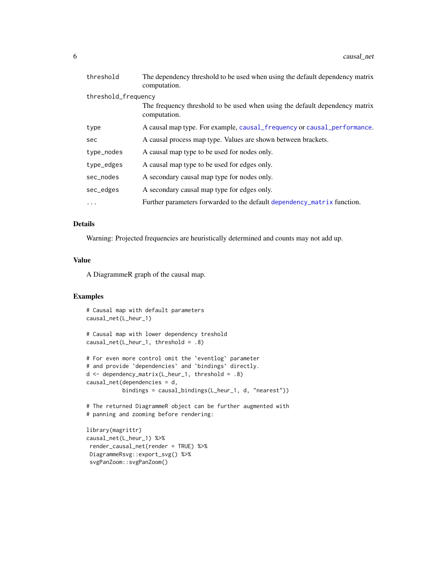<span id="page-5-0"></span>

| threshold           | The dependency threshold to be used when using the default dependency matrix<br>computation. |
|---------------------|----------------------------------------------------------------------------------------------|
| threshold_frequency |                                                                                              |
|                     | The frequency threshold to be used when using the default dependency matrix<br>computation.  |
| type                | A causal map type. For example, causal_frequency or causal_performance.                      |
| sec                 | A causal process map type. Values are shown between brackets.                                |
| type_nodes          | A causal map type to be used for nodes only.                                                 |
| type_edges          | A causal map type to be used for edges only.                                                 |
| sec_nodes           | A secondary causal map type for nodes only.                                                  |
| sec_edges           | A secondary causal map type for edges only.                                                  |
| $\cdots$            | Further parameters forwarded to the default dependency matrix function.                      |

#### Details

Warning: Projected frequencies are heuristically determined and counts may not add up.

#### Value

A DiagrammeR graph of the causal map.

#### Examples

```
# Causal map with default parameters
causal_net(L_heur_1)
# Causal map with lower dependency treshold
```

```
causal_net(L_heur_1, threshold = .8)
```

```
# For even more control omit the `eventlog` parameter
# and provide `dependencies` and `bindings` directly.
d <- dependency_matrix(L_heur_1, threshold = .8)
causal_net(dependencies = d,
          bindings = causal_bindings(L_heur_1, d, "nearest"))
```
# The returned DiagrammeR object can be further augmented with # panning and zooming before rendering:

```
library(magrittr)
causal_net(L_heur_1) %>%
render_causal_net(render = TRUE) %>%
DiagrammeRsvg::export_svg() %>%
svgPanZoom::svgPanZoom()
```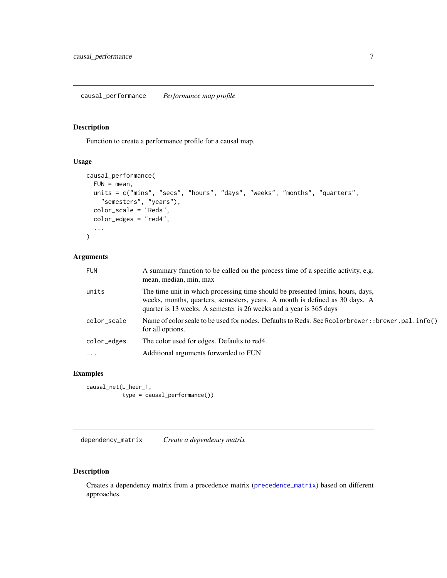#### <span id="page-6-2"></span><span id="page-6-0"></span>Description

Function to create a performance profile for a causal map.

### Usage

```
causal_performance(
  FUN = mean,units = c("mins", "secs", "hours", "days", "weeks", "months", "quarters",
    "semesters", "years"),
  color_scale = "Reds",
  color_edges = "red4",
  ...
\mathcal{L}
```
#### Arguments

| <b>FUN</b>  | A summary function to be called on the process time of a specific activity, e.g.<br>mean, median, min, max                                                                                                                          |
|-------------|-------------------------------------------------------------------------------------------------------------------------------------------------------------------------------------------------------------------------------------|
| units       | The time unit in which processing time should be presented (mins, hours, days,<br>weeks, months, quarters, semesters, years. A month is defined as 30 days. A<br>quarter is 13 weeks. A semester is 26 weeks and a year is 365 days |
| color_scale | Name of color scale to be used for nodes. Defaults to Reds. See Rcolorbrewer: : brewer.pal.info()<br>for all options.                                                                                                               |
| color_edges | The color used for edges. Defaults to red4.                                                                                                                                                                                         |
| $\cdot$     | Additional arguments forwarded to FUN                                                                                                                                                                                               |
|             |                                                                                                                                                                                                                                     |

#### Examples

causal\_net(L\_heur\_1, type = causal\_performance())

<span id="page-6-1"></span>dependency\_matrix *Create a dependency matrix*

#### Description

Creates a dependency matrix from a precedence matrix ([precedence\\_matrix](#page-12-1)) based on different approaches.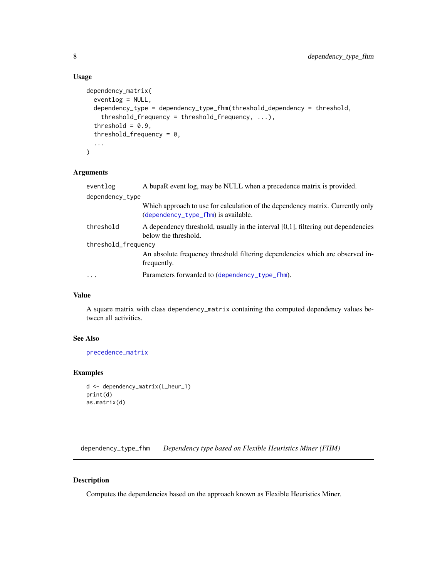#### Usage

```
dependency_matrix(
  eventlog = NULL,
 dependency_type = dependency_type_fhm(threshold_dependency = threshold,
    threshold_frequency = threshold_frequency, ...),
  threshold = 0.9,
  threshold_frequency = 0,
  ...
)
```
#### Arguments

| eventlog            | A bupaR event log, may be NULL when a precedence matrix is provided.                                                  |
|---------------------|-----------------------------------------------------------------------------------------------------------------------|
| dependency_type     |                                                                                                                       |
|                     | Which approach to use for calculation of the dependency matrix. Currently only<br>(dependency_type_fhm) is available. |
| threshold           | A dependency threshold, usually in the interval [0,1], filtering out dependencies<br>below the threshold.             |
| threshold_frequency |                                                                                                                       |
|                     | An absolute frequency threshold filtering dependencies which are observed in-<br>frequently.                          |
| $\cdots$            | Parameters forwarded to (dependency_type_fhm).                                                                        |

#### Value

A square matrix with class dependency\_matrix containing the computed dependency values between all activities.

#### See Also

[precedence\\_matrix](#page-12-1)

#### Examples

```
d <- dependency_matrix(L_heur_1)
print(d)
as.matrix(d)
```
<span id="page-7-1"></span>dependency\_type\_fhm *Dependency type based on Flexible Heuristics Miner (FHM)*

#### Description

Computes the dependencies based on the approach known as Flexible Heuristics Miner.

<span id="page-7-0"></span>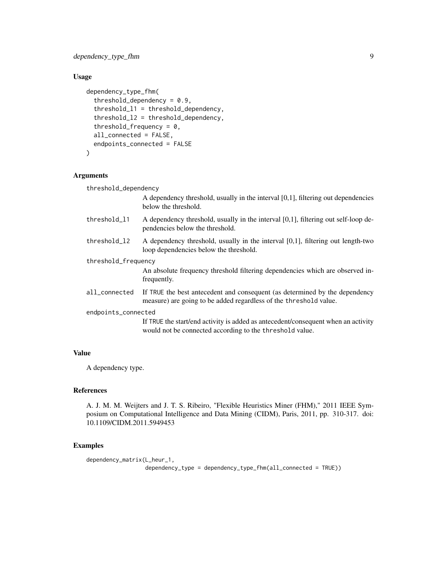dependency\_type\_fhm 9

#### Usage

```
dependency_type_fhm(
  threshold_dependency = 0.9,
  threshold_l1 = threshold_dependency,
  threshold_l2 = threshold_dependency,
  threshold_frequency = 0,
  all_connected = FALSE,
  endpoints_connected = FALSE
)
```
#### Arguments

threshold\_dependency

A dependency threshold, usually in the interval [0,1], filtering out dependencies below the threshold.

- threshold\_11 A dependency threshold, usually in the interval [0,1], filtering out self-loop dependencies below the threshold.
- threshold\_l2 A dependency threshold, usually in the interval [0,1], filtering out length-two loop dependencies below the threshold.
- threshold\_frequency

An absolute frequency threshold filtering dependencies which are observed infrequently.

- all\_connected If TRUE the best antecedent and consequent (as determined by the dependency measure) are going to be added regardless of the threshold value.
- endpoints\_connected

If TRUE the start/end activity is added as antecedent/consequent when an activity would not be connected according to the threshold value.

#### Value

A dependency type.

#### References

A. J. M. M. Weijters and J. T. S. Ribeiro, "Flexible Heuristics Miner (FHM)," 2011 IEEE Symposium on Computational Intelligence and Data Mining (CIDM), Paris, 2011, pp. 310-317. doi: 10.1109/CIDM.2011.5949453

#### Examples

```
dependency_matrix(L_heur_1,
                 dependency_type = dependency_type_fhm(all_connected = TRUE))
```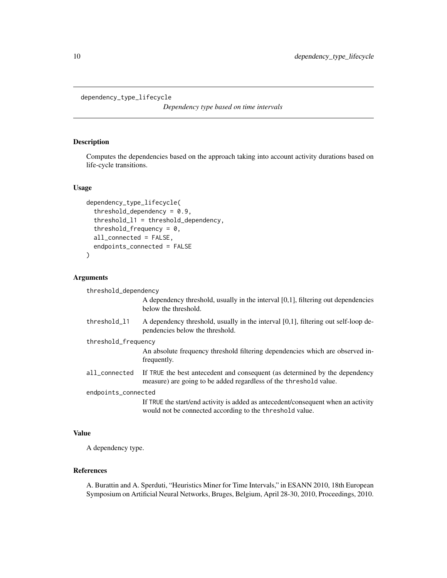```
dependency_type_lifecycle
```
*Dependency type based on time intervals*

#### Description

Computes the dependencies based on the approach taking into account activity durations based on life-cycle transitions.

#### Usage

```
dependency_type_lifecycle(
  threshold_dependency = 0.9,
  threshold_l1 = threshold_dependency,
  threshold_frequency = 0,
  all_connected = FALSE,
  endpoints_connected = FALSE
)
```
#### Arguments

threshold\_dependency

A dependency threshold, usually in the interval [0,1], filtering out dependencies below the threshold.

- threshold\_l1 A dependency threshold, usually in the interval [0,1], filtering out self-loop dependencies below the threshold.
- threshold\_frequency

An absolute frequency threshold filtering dependencies which are observed infrequently.

all\_connected If TRUE the best antecedent and consequent (as determined by the dependency measure) are going to be added regardless of the threshold value.

endpoints\_connected

If TRUE the start/end activity is added as antecedent/consequent when an activity would not be connected according to the threshold value.

#### Value

A dependency type.

#### References

A. Burattin and A. Sperduti, "Heuristics Miner for Time Intervals," in ESANN 2010, 18th European Symposium on Artificial Neural Networks, Bruges, Belgium, April 28-30, 2010, Proceedings, 2010.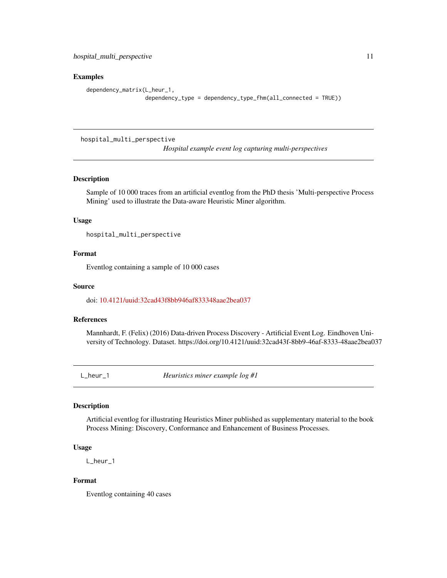#### <span id="page-10-0"></span>Examples

```
dependency_matrix(L_heur_1,
                  dependency_type = dependency_type_fhm(all_connected = TRUE))
```
hospital\_multi\_perspective

*Hospital example event log capturing multi-perspectives*

#### Description

Sample of 10 000 traces from an artificial eventlog from the PhD thesis 'Multi-perspective Process Mining' used to illustrate the Data-aware Heuristic Miner algorithm.

#### Usage

hospital\_multi\_perspective

#### Format

Eventlog containing a sample of 10 000 cases

#### Source

doi: [10.4121/uuid:32cad43f8bb946af833348aae2bea037](https://doi.org/10.4121/uuid:32cad43f-8bb9-46af-8333-48aae2bea037)

#### References

Mannhardt, F. (Felix) (2016) Data-driven Process Discovery - Artificial Event Log. Eindhoven University of Technology. Dataset. https://doi.org/10.4121/uuid:32cad43f-8bb9-46af-8333-48aae2bea037

L\_heur\_1 *Heuristics miner example log #1*

#### Description

Artificial eventlog for illustrating Heuristics Miner published as supplementary material to the book Process Mining: Discovery, Conformance and Enhancement of Business Processes.

#### Usage

L\_heur\_1

#### Format

Eventlog containing 40 cases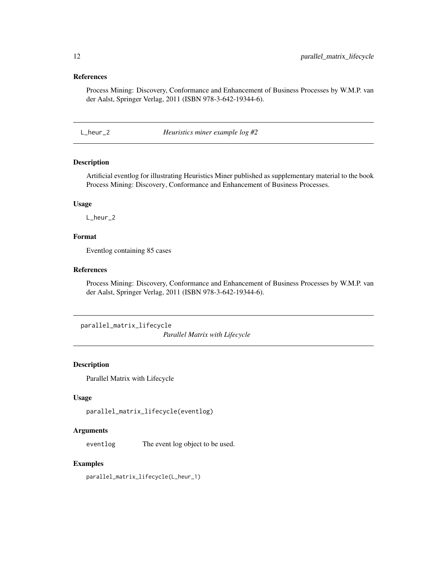#### <span id="page-11-0"></span>References

Process Mining: Discovery, Conformance and Enhancement of Business Processes by W.M.P. van der Aalst, Springer Verlag, 2011 (ISBN 978-3-642-19344-6).

L\_heur\_2 *Heuristics miner example log #2*

#### Description

Artificial eventlog for illustrating Heuristics Miner published as supplementary material to the book Process Mining: Discovery, Conformance and Enhancement of Business Processes.

#### Usage

L\_heur\_2

#### Format

Eventlog containing 85 cases

#### References

Process Mining: Discovery, Conformance and Enhancement of Business Processes by W.M.P. van der Aalst, Springer Verlag, 2011 (ISBN 978-3-642-19344-6).

```
parallel_matrix_lifecycle
```
*Parallel Matrix with Lifecycle*

#### Description

Parallel Matrix with Lifecycle

#### Usage

```
parallel_matrix_lifecycle(eventlog)
```
#### Arguments

eventlog The event log object to be used.

#### Examples

parallel\_matrix\_lifecycle(L\_heur\_1)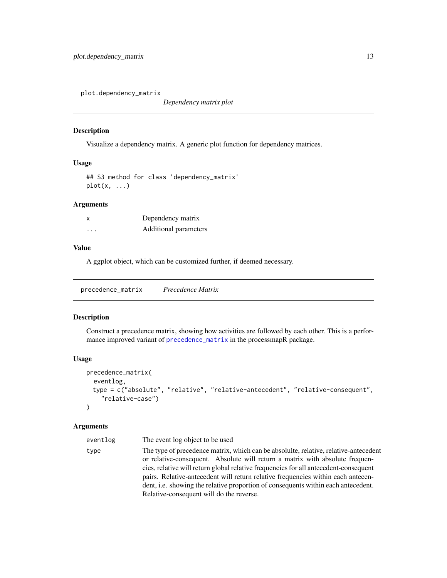<span id="page-12-0"></span>plot.dependency\_matrix

*Dependency matrix plot*

#### Description

Visualize a dependency matrix. A generic plot function for dependency matrices.

#### Usage

## S3 method for class 'dependency\_matrix'  $plot(x, \ldots)$ 

#### Arguments

| X        | Dependency matrix     |
|----------|-----------------------|
| $\cdots$ | Additional parameters |

#### Value

A ggplot object, which can be customized further, if deemed necessary.

<span id="page-12-1"></span>precedence\_matrix *Precedence Matrix*

#### Description

Construct a precedence matrix, showing how activities are followed by each other. This is a performance improved variant of [precedence\\_matrix](#page-12-1) in the processmapR package.

#### Usage

```
precedence_matrix(
  eventlog,
 type = c("absolute", "relative", "relative-antecedent", "relative-consequent",
    "relative-case")
)
```

| eventlog | The event log object to be used                                                                                                                                                                                                                                                                                                                                                                                                              |
|----------|----------------------------------------------------------------------------------------------------------------------------------------------------------------------------------------------------------------------------------------------------------------------------------------------------------------------------------------------------------------------------------------------------------------------------------------------|
| type     | The type of precedence matrix, which can be absoluite, relative, relative-antecedent<br>or relative-consequent. Absolute will return a matrix with absolute frequen-<br>cies, relative will return global relative frequencies for all antecedent-consequent<br>pairs. Relative-antecedent will return relative frequencies within each antecen-<br>dent, <i>i.e.</i> showing the relative proportion of consequents within each antecedent. |
|          | Relative-consequent will do the reverse.                                                                                                                                                                                                                                                                                                                                                                                                     |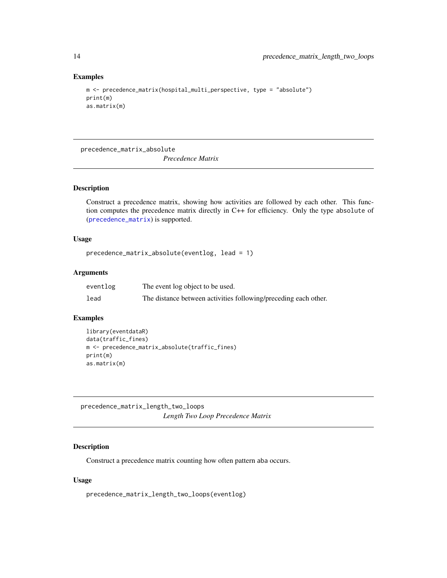#### Examples

```
m <- precedence_matrix(hospital_multi_perspective, type = "absolute")
print(m)
as.matrix(m)
```
precedence\_matrix\_absolute

*Precedence Matrix*

#### Description

Construct a precedence matrix, showing how activities are followed by each other. This function computes the precedence matrix directly in C++ for efficiency. Only the type absolute of ([precedence\\_matrix](#page-12-1)) is supported.

#### Usage

```
precedence_matrix_absolute(eventlog, lead = 1)
```
#### Arguments

| eventlog | The event log object to be used.                                |
|----------|-----------------------------------------------------------------|
| lead     | The distance between activities following/preceding each other. |

#### Examples

```
library(eventdataR)
data(traffic_fines)
m <- precedence_matrix_absolute(traffic_fines)
print(m)
as.matrix(m)
```
precedence\_matrix\_length\_two\_loops *Length Two Loop Precedence Matrix*

#### Description

Construct a precedence matrix counting how often pattern aba occurs.

#### Usage

precedence\_matrix\_length\_two\_loops(eventlog)

<span id="page-13-0"></span>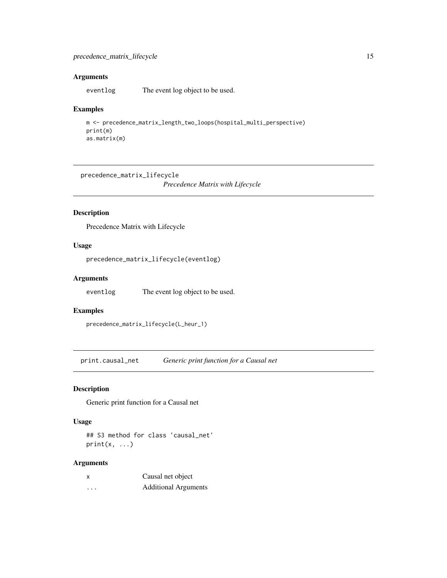#### <span id="page-14-0"></span>Arguments

eventlog The event log object to be used.

#### Examples

```
m <- precedence_matrix_length_two_loops(hospital_multi_perspective)
print(m)
as.matrix(m)
```
precedence\_matrix\_lifecycle

*Precedence Matrix with Lifecycle*

### Description

Precedence Matrix with Lifecycle

#### Usage

```
precedence_matrix_lifecycle(eventlog)
```
#### Arguments

eventlog The event log object to be used.

#### Examples

precedence\_matrix\_lifecycle(L\_heur\_1)

print.causal\_net *Generic print function for a Causal net*

#### Description

Generic print function for a Causal net

#### Usage

## S3 method for class 'causal\_net'  $print(x, \ldots)$ 

| x        | Causal net object           |
|----------|-----------------------------|
| $\cdots$ | <b>Additional Arguments</b> |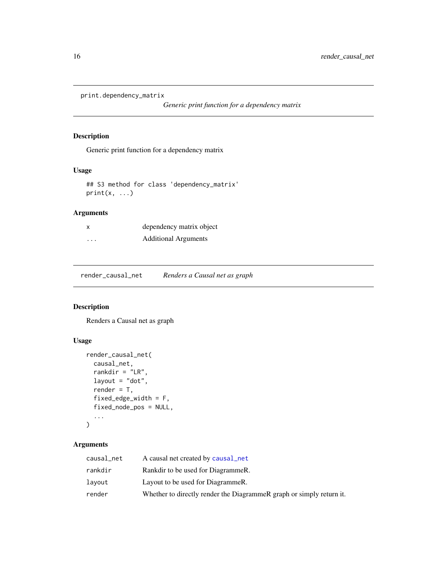```
print.dependency_matrix
```
*Generic print function for a dependency matrix*

#### Description

Generic print function for a dependency matrix

#### Usage

```
## S3 method for class 'dependency_matrix'
print(x, \ldots)
```
## Arguments

| x       | dependency matrix object    |
|---------|-----------------------------|
| $\cdot$ | <b>Additional Arguments</b> |

render\_causal\_net *Renders a Causal net as graph*

#### Description

Renders a Causal net as graph

#### Usage

```
render_causal_net(
 causal_net,
  rankdir = "LR",
  layout = "dot",
  render = T,
  fixed_edge_width = F,
  fixed_node_pos = NULL,
  ...
)
```

| causal_net | A causal net created by causal net                                   |
|------------|----------------------------------------------------------------------|
| rankdir    | Rankdir to be used for Diagrammer.                                   |
| layout     | Layout to be used for DiagrammeR.                                    |
| render     | Whether to directly render the DiagrammeR graph or simply return it. |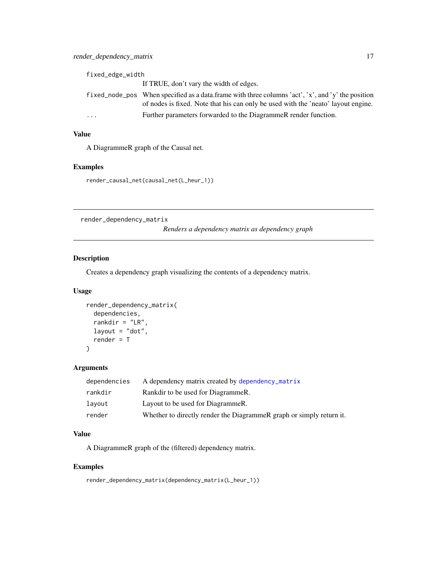<span id="page-16-0"></span>

| fixed_edge_width |                                                                                                                                                                                        |  |
|------------------|----------------------------------------------------------------------------------------------------------------------------------------------------------------------------------------|--|
|                  | If TRUE, don't vary the width of edges.                                                                                                                                                |  |
|                  | fixed node pos When specified as a data frame with three columns 'act', 'x', and 'y' the position<br>of nodes is fixed. Note that his can only be used with the 'neato' layout engine. |  |
| .                | Further parameters forwarded to the DiagrammeR render function.                                                                                                                        |  |

#### Value

A DiagrammeR graph of the Causal net.

#### Examples

render\_causal\_net(causal\_net(L\_heur\_1))

render\_dependency\_matrix

*Renders a dependency matrix as dependency graph*

#### Description

Creates a dependency graph visualizing the contents of a dependency matrix.

#### Usage

```
render_dependency_matrix(
  dependencies,
  rankdir = "LR",layout = "dot",
  render = T
\mathcal{L}
```
#### Arguments

| dependencies | A dependency matrix created by dependency_matrix                     |
|--------------|----------------------------------------------------------------------|
| rankdir      | Rankdir to be used for DiagrammeR.                                   |
| lavout       | Layout to be used for DiagrammeR.                                    |
| render       | Whether to directly render the DiagrammeR graph or simply return it. |

#### Value

A DiagrammeR graph of the (filtered) dependency matrix.

#### Examples

render\_dependency\_matrix(dependency\_matrix(L\_heur\_1))